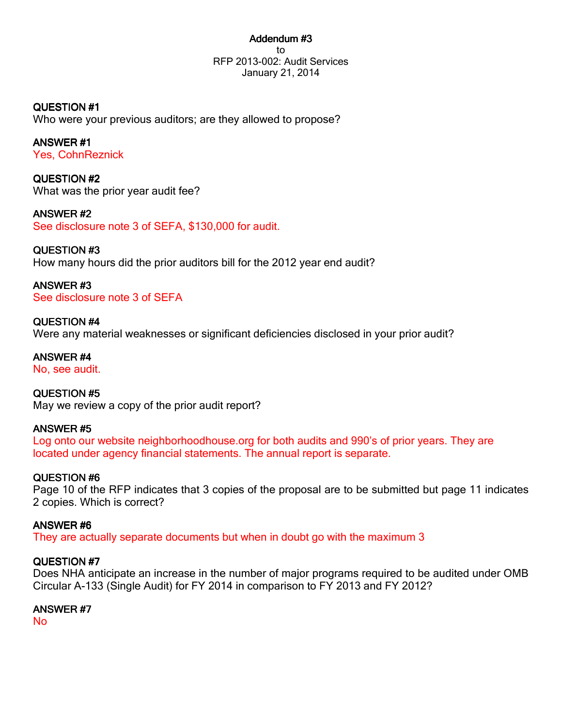### Addendum #3 to RFP 2013-002: Audit Services January 21, 2014

QUESTION #1 Who were your previous auditors; are they allowed to propose?

ANSWER #1 Yes, CohnReznick

QUESTION #2 What was the prior year audit fee?

ANSWER #2 See disclosure note 3 of SEFA, \$130,000 for audit.

QUESTION #3 How many hours did the prior auditors bill for the 2012 year end audit?

ANSWER #3 See disclosure note 3 of SEFA

QUESTION #4 Were any material weaknesses or significant deficiencies disclosed in your prior audit?

No, see audit. QUESTION #5 May we review a copy of the prior audit report?

ANSWER #5 Log onto our website neighborhoodhouse.org for both audits and 990's of prior years. They are located under agency financial statements. The annual report is separate.

QUESTION #6

ANSWER #4

Page 10 of the RFP indicates that 3 copies of the proposal are to be submitted but page 11 indicates 2 copies. Which is correct?

ANSWER #6 They are actually separate documents but when in doubt go with the maximum 3

# QUESTION #7

Does NHA anticipate an increase in the number of major programs required to be audited under OMB Circular A-133 (Single Audit) for FY 2014 in comparison to FY 2013 and FY 2012?

ANSWER #7

No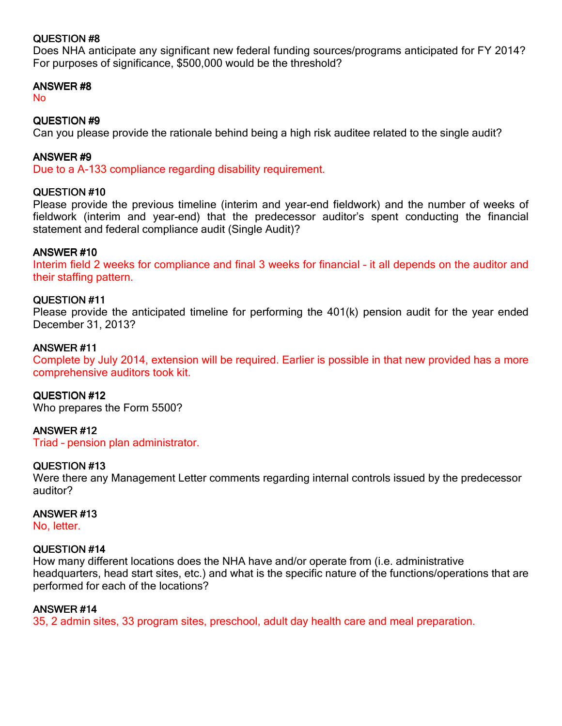# QUESTION #8

Does NHA anticipate any significant new federal funding sources/programs anticipated for FY 2014? For purposes of significance, \$500,000 would be the threshold?

### ANSWER #8

No

## QUESTION #9

Can you please provide the rationale behind being a high risk auditee related to the single audit?

## ANSWER #9

Due to a A-133 compliance regarding disability requirement.

### QUESTION #10

Please provide the previous timeline (interim and year-end fieldwork) and the number of weeks of fieldwork (interim and year-end) that the predecessor auditor's spent conducting the financial statement and federal compliance audit (Single Audit)?

## ANSWER #10

Interim field 2 weeks for compliance and final 3 weeks for financial – it all depends on the auditor and their staffing pattern.

### QUESTION #11

Please provide the anticipated timeline for performing the 401(k) pension audit for the year ended December 31, 2013?

### ANSWER #11

Complete by July 2014, extension will be required. Earlier is possible in that new provided has a more comprehensive auditors took kit.

#### QUESTION #12

Who prepares the Form 5500?

## ANSWER #12

Triad – pension plan administrator.

#### QUESTION #13

Were there any Management Letter comments regarding internal controls issued by the predecessor auditor?

#### ANSWER #13

No, letter.

#### QUESTION #14

How many different locations does the NHA have and/or operate from (i.e. administrative headquarters, head start sites, etc.) and what is the specific nature of the functions/operations that are performed for each of the locations?

#### ANSWER #14

35, 2 admin sites, 33 program sites, preschool, adult day health care and meal preparation.